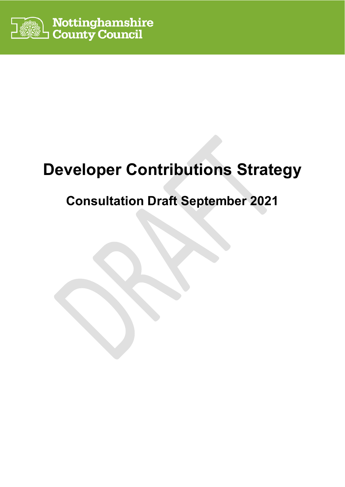

# **Developer Contributions Strategy**

## **Consultation Draft September 2021**

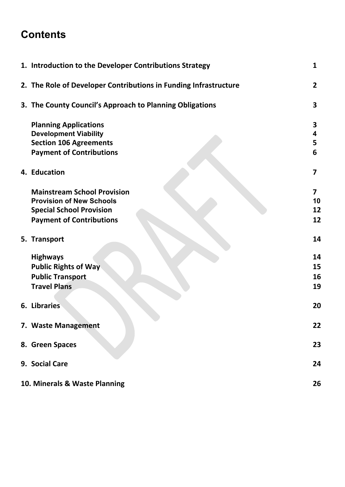## **Contents**

| 1. Introduction to the Developer Contributions Strategy          | 1                       |
|------------------------------------------------------------------|-------------------------|
| 2. The Role of Developer Contributions in Funding Infrastructure | $\overline{2}$          |
| 3. The County Council's Approach to Planning Obligations         | 3                       |
| <b>Planning Applications</b>                                     | 3                       |
| <b>Development Viability</b>                                     | 4                       |
| <b>Section 106 Agreements</b>                                    | 5                       |
| <b>Payment of Contributions</b>                                  | 6                       |
| 4. Education                                                     | $\overline{\mathbf{z}}$ |
| <b>Mainstream School Provision</b>                               | 7                       |
| <b>Provision of New Schools</b>                                  | 10                      |
| <b>Special School Provision</b>                                  | 12                      |
| <b>Payment of Contributions</b>                                  | 12                      |
| 5. Transport                                                     | 14                      |
| <b>Highways</b>                                                  | 14                      |
| <b>Public Rights of Way</b>                                      | 15                      |
| <b>Public Transport</b>                                          | 16                      |
| <b>Travel Plans</b>                                              | 19                      |
| <b>6. Libraries</b>                                              | 20                      |
|                                                                  |                         |
| 7. Waste Management                                              | 22                      |
| 8. Green Spaces                                                  | 23                      |
| 9. Social Care                                                   | 24                      |
| 10. Minerals & Waste Planning                                    | 26                      |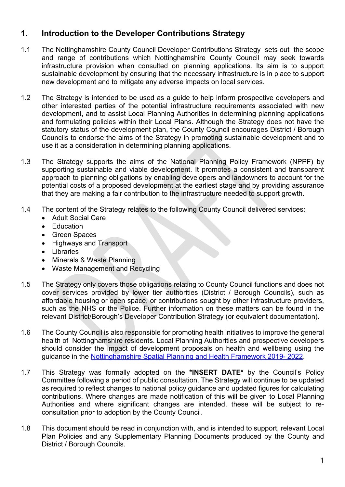## **1. Introduction to the Developer Contributions Strategy**

- 1.1 The Nottinghamshire County Council Developer Contributions Strategy sets out the scope and range of contributions which Nottinghamshire County Council may seek towards infrastructure provision when consulted on planning applications. Its aim is to support sustainable development by ensuring that the necessary infrastructure is in place to support new development and to mitigate any adverse impacts on local services.
- 1.2 The Strategy is intended to be used as a guide to help inform prospective developers and other interested parties of the potential infrastructure requirements associated with new development, and to assist Local Planning Authorities in determining planning applications and formulating policies within their Local Plans. Although the Strategy does not have the statutory status of the development plan, the County Council encourages District / Borough Councils to endorse the aims of the Strategy in promoting sustainable development and to use it as a consideration in determining planning applications.
- 1.3 The Strategy supports the aims of the National Planning Policy Framework (NPPF) by supporting sustainable and viable development. It promotes a consistent and transparent approach to planning obligations by enabling developers and landowners to account for the potential costs of a proposed development at the earliest stage and by providing assurance that they are making a fair contribution to the infrastructure needed to support growth.
- 1.4 The content of the Strategy relates to the following County Council delivered services:
	- Adult Social Care
	- Education
	- Green Spaces
	- Highways and Transport
	- Libraries
	- Minerals & Waste Planning
	- Waste Management and Recycling
- 1.5 The Strategy only covers those obligations relating to County Council functions and does not cover services provided by lower tier authorities (District / Borough Councils), such as affordable housing or open space, or contributions sought by other infrastructure providers, such as the NHS or the Police. Further information on these matters can be found in the relevant District/Borough's Developer Contribution Strategy (or equivalent documentation).
- 1.6 The County Council is also responsible for promoting health initiatives to improve the general health of Nottinghamshire residents. Local Planning Authorities and prospective developers should consider the impact of development proposals on health and wellbeing using the guidance in the Nottinghamshire Spatial Planning and Health Framework 2019- 2022.
- 1.7 This Strategy was formally adopted on the **\*INSERT DATE\*** by the Council's Policy Committee following a period of public consultation. The Strategy will continue to be updated as required to reflect changes to national policy guidance and updated figures for calculating contributions. Where changes are made notification of this will be given to Local Planning Authorities and where significant changes are intended, these will be subject to reconsultation prior to adoption by the County Council.
- 1.8 This document should be read in conjunction with, and is intended to support, relevant Local Plan Policies and any Supplementary Planning Documents produced by the County and District / Borough Councils.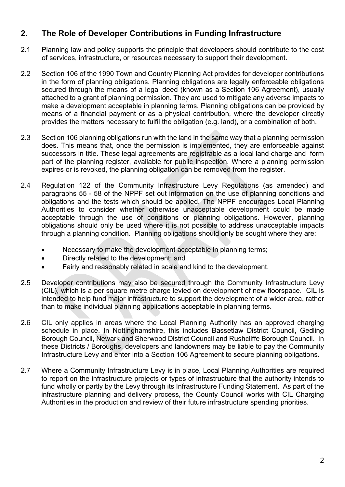## **2. The Role of Developer Contributions in Funding Infrastructure**

- 2.1 Planning law and policy supports the principle that developers should contribute to the cost of services, infrastructure, or resources necessary to support their development.
- 2.2 Section 106 of the 1990 Town and Country Planning Act provides for developer contributions in the form of planning obligations. Planning obligations are legally enforceable obligations secured through the means of a legal deed (known as a Section 106 Agreement), usually attached to a grant of planning permission. They are used to mitigate any adverse impacts to make a development acceptable in planning terms. Planning obligations can be provided by means of a financial payment or as a physical contribution, where the developer directly provides the matters necessary to fulfil the obligation (e.g. land), or a combination of both.
- 2.3 Section 106 planning obligations run with the land in the same way that a planning permission does. This means that, once the permission is implemented, they are enforceable against successors in title. These legal agreements are registrable as a local land charge and form part of the planning register, available for public inspection. Where a planning permission expires or is revoked, the planning obligation can be removed from the register.
- 2.4 Regulation 122 of the Community Infrastructure Levy Regulations (as amended) and paragraphs 55 - 58 of the NPPF set out information on the use of planning conditions and obligations and the tests which should be applied. The NPPF encourages Local Planning Authorities to consider whether otherwise unacceptable development could be made acceptable through the use of conditions or planning obligations. However, planning obligations should only be used where it is not possible to address unacceptable impacts through a planning condition. Planning obligations should only be sought where they are:
	- Necessary to make the development acceptable in planning terms;
	- Directly related to the development; and
	- Fairly and reasonably related in scale and kind to the development.
- 2.5 Developer contributions may also be secured through the Community Infrastructure Levy (CIL), which is a per square metre charge levied on development of new floorspace. CIL is intended to help fund major infrastructure to support the development of a wider area, rather than to make individual planning applications acceptable in planning terms.
- 2.6 CIL only applies in areas where the Local Planning Authority has an approved charging schedule in place. In Nottinghamshire, this includes Bassetlaw District Council, Gedling Borough Council, Newark and Sherwood District Council and Rushcliffe Borough Council. In these Districts / Boroughs, developers and landowners may be liable to pay the Community Infrastructure Levy and enter into a Section 106 Agreement to secure planning obligations.
- 2.7 Where a Community Infrastructure Levy is in place, Local Planning Authorities are required to report on the infrastructure projects or types of infrastructure that the authority intends to fund wholly or partly by the Levy through its Infrastructure Funding Statement. As part of the infrastructure planning and delivery process, the County Council works with CIL Charging Authorities in the production and review of their future infrastructure spending priorities.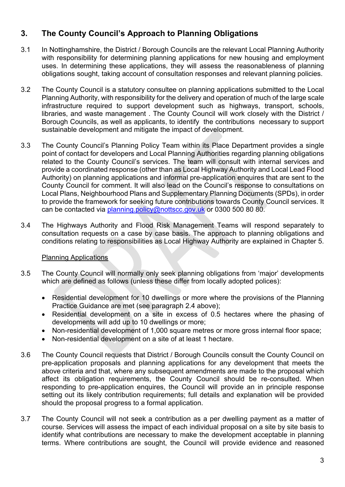## **3. The County Council's Approach to Planning Obligations**

- 3.1 In Nottinghamshire, the District / Borough Councils are the relevant Local Planning Authority with responsibility for determining planning applications for new housing and employment uses. In determining these applications, they will assess the reasonableness of planning obligations sought, taking account of consultation responses and relevant planning policies.
- 3.2 The County Council is a statutory consultee on planning applications submitted to the Local Planning Authority, with responsibility for the delivery and operation of much of the large scale infrastructure required to support development such as highways, transport, schools, libraries, and waste management . The County Council will work closely with the District / Borough Councils, as well as applicants, to identify the contributions necessary to support sustainable development and mitigate the impact of development.
- 3.3 The County Council's Planning Policy Team within its Place Department provides a single point of contact for developers and Local Planning Authorities regarding planning obligations related to the County Council's services. The team will consult with internal services and provide a coordinated response (other than as Local Highway Authority and Local Lead Flood Authority) on planning applications and informal pre-application enquires that are sent to the County Council for comment. It will also lead on the Council's response to consultations on Local Plans, Neighbourhood Plans and Supplementary Planning Documents (SPDs), in order to provide the framework for seeking future contributions towards County Council services. It can be contacted via planning.policy@nottscc.gov.uk or 0300 500 80 80.
- 3.4 The Highways Authority and Flood Risk Management Teams will respond separately to consultation requests on a case by case basis. The approach to planning obligations and conditions relating to responsibilities as Local Highway Authority are explained in Chapter 5.

### Planning Applications

- 3.5 The County Council will normally only seek planning obligations from 'major' developments which are defined as follows (unless these differ from locally adopted polices):
	- Residential development for 10 dwellings or more where the provisions of the Planning Practice Guidance are met (see paragraph 2.4 above);
	- Residential development on a site in excess of 0.5 hectares where the phasing of developments will add up to 10 dwellings or more;
	- Non-residential development of 1,000 square metres or more gross internal floor space;
	- Non-residential development on a site of at least 1 hectare.
- 3.6 The County Council requests that District / Borough Councils consult the County Council on pre-application proposals and planning applications for any development that meets the above criteria and that, where any subsequent amendments are made to the proposal which affect its obligation requirements, the County Council should be re-consulted. When responding to pre-application enquires, the Council will provide an in principle response setting out its likely contribution requirements; full details and explanation will be provided should the proposal progress to a formal application.
- 3.7 The County Council will not seek a contribution as a per dwelling payment as a matter of course. Services will assess the impact of each individual proposal on a site by site basis to identify what contributions are necessary to make the development acceptable in planning terms. Where contributions are sought, the Council will provide evidence and reasoned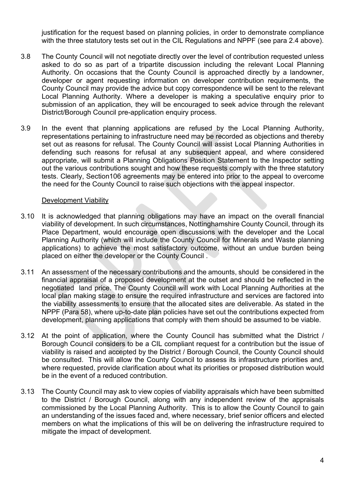justification for the request based on planning policies, in order to demonstrate compliance with the three statutory tests set out in the CIL Regulations and NPPF (see para 2.4 above).

- 3.8 The County Council will not negotiate directly over the level of contribution requested unless asked to do so as part of a tripartite discussion including the relevant Local Planning Authority. On occasions that the County Council is approached directly by a landowner, developer or agent requesting information on developer contribution requirements, the County Council may provide the advice but copy correspondence will be sent to the relevant Local Planning Authority. Where a developer is making a speculative enquiry prior to submission of an application, they will be encouraged to seek advice through the relevant District/Borough Council pre-application enquiry process.
- 3.9 In the event that planning applications are refused by the Local Planning Authority, representations pertaining to infrastructure need may be recorded as objections and thereby set out as reasons for refusal. The County Council will assist Local Planning Authorities in defending such reasons for refusal at any subsequent appeal, and where considered appropriate, will submit a Planning Obligations Position Statement to the Inspector setting out the various contributions sought and how these requests comply with the three statutory tests. Clearly, Section106 agreements may be entered into prior to the appeal to overcome the need for the County Council to raise such objections with the appeal inspector.

#### Development Viability

- 3.10 It is acknowledged that planning obligations may have an impact on the overall financial viability of development. In such circumstances, Nottinghamshire County Council, through its Place Department, would encourage open discussions with the developer and the Local Planning Authority (which will include the County Council for Minerals and Waste planning applications) to achieve the most satisfactory outcome, without an undue burden being placed on either the developer or the County Council .
- 3.11 An assessment of the necessary contributions and the amounts, should be considered in the financial appraisal of a proposed development at the outset and should be reflected in the negotiated land price. The County Council will work with Local Planning Authorities at the local plan making stage to ensure the required infrastructure and services are factored into the viability assessments to ensure that the allocated sites are deliverable. As stated in the NPPF (Para 58), where up-to-date plan policies have set out the contributions expected from development, planning applications that comply with them should be assumed to be viable.
- 3.12 At the point of application, where the County Council has submitted what the District / Borough Council considers to be a CIL compliant request for a contribution but the issue of viability is raised and accepted by the District / Borough Council, the County Council should be consulted. This will allow the County Council to assess its infrastructure priorities and, where requested, provide clarification about what its priorities or proposed distribution would be in the event of a reduced contribution.
- 3.13 The County Council may ask to view copies of viability appraisals which have been submitted to the District / Borough Council, along with any independent review of the appraisals commissioned by the Local Planning Authority. This is to allow the County Council to gain an understanding of the issues faced and, where necessary, brief senior officers and elected members on what the implications of this will be on delivering the infrastructure required to mitigate the impact of development.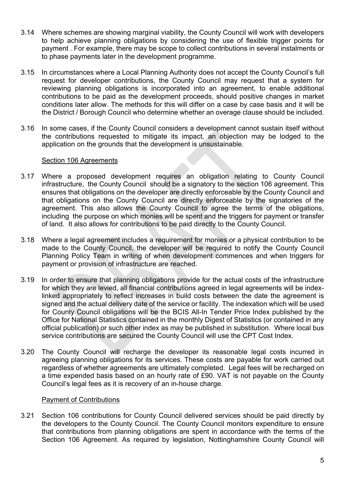- 3.14 Where schemes are showing marginal viability, the County Council will work with developers to help achieve planning obligations by considering the use of flexible trigger points for payment . For example, there may be scope to collect contributions in several instalments or to phase payments later in the development programme.
- 3.15 In circumstances where a Local Planning Authority does not accept the County Council's full request for developer contributions, the County Council may request that a system for reviewing planning obligations is incorporated into an agreement, to enable additional contributions to be paid as the development proceeds, should positive changes in market conditions later allow. The methods for this will differ on a case by case basis and it will be the District / Borough Council who determine whether an overage clause should be included.
- 3.16 In some cases, if the County Council considers a development cannot sustain itself without the contributions requested to mitigate its impact, an objection may be lodged to the application on the grounds that the development is unsustainable.

#### Section 106 Agreements

- 3.17 Where a proposed development requires an obligation relating to County Council infrastructure, the County Council should be a signatory to the section 106 agreement. This ensures that obligations on the developer are directly enforceable by the County Council and that obligations on the County Council are directly enforceable by the signatories of the agreement. This also allows the County Council to agree the terms of the obligations, including the purpose on which monies will be spent and the triggers for payment or transfer of land. It also allows for contributions to be paid directly to the County Council.
- 3.18 Where a legal agreement includes a requirement for monies or a physical contribution to be made to the County Council, the developer will be required to notify the County Council Planning Policy Team in writing of when development commences and when triggers for payment or provision of infrastructure are reached.
- 3.19 In order to ensure that planning obligations provide for the actual costs of the infrastructure for which they are levied, all financial contributions agreed in legal agreements will be indexlinked appropriately to reflect increases in build costs between the date the agreement is signed and the actual delivery date of the service or facility. The indexation which will be used for County Council obligations will be the BCIS All-In Tender Price Index published by the Office for National Statistics contained in the monthly Digest of Statistics (or contained in any official publication) or such other index as may be published in substitution. Where local bus service contributions are secured the County Council will use the CPT Cost Index.
- 3.20 The County Council will recharge the developer its reasonable legal costs incurred in agreeing planning obligations for its services. These costs are payable for work carried out regardless of whether agreements are ultimately completed. Legal fees will be recharged on a time expended basis based on an hourly rate of £90. VAT is not payable on the County Council's legal fees as it is recovery of an in-house charge.

#### Payment of Contributions

3.21 Section 106 contributions for County Council delivered services should be paid directly by the developers to the County Council. The County Council monitors expenditure to ensure that contributions from planning obligations are spent in accordance with the terms of the Section 106 Agreement. As required by legislation. Nottinghamshire County Council will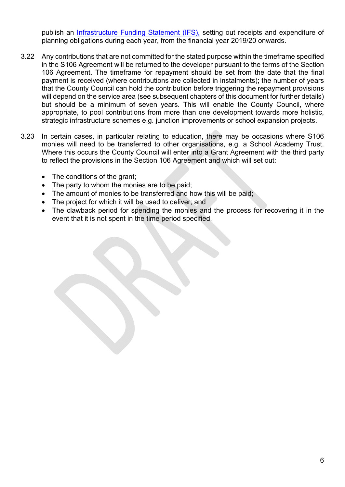publish an *Infrastructure Funding Statement (IFS)*, setting out receipts and expenditure of planning obligations during each year, from the financial year 2019/20 onwards.

- 3.22 Any contributions that are not committed for the stated purpose within the timeframe specified in the S106 Agreement will be returned to the developer pursuant to the terms of the Section 106 Agreement. The timeframe for repayment should be set from the date that the final payment is received (where contributions are collected in instalments); the number of years that the County Council can hold the contribution before triggering the repayment provisions will depend on the service area (see subsequent chapters of this document for further details) but should be a minimum of seven years. This will enable the County Council, where appropriate, to pool contributions from more than one development towards more holistic, strategic infrastructure schemes e.g. junction improvements or school expansion projects.
- 3.23 In certain cases, in particular relating to education, there may be occasions where S106 monies will need to be transferred to other organisations, e.g. a School Academy Trust. Where this occurs the County Council will enter into a Grant Agreement with the third party to reflect the provisions in the Section 106 Agreement and which will set out:
	- The conditions of the grant;
	- The party to whom the monies are to be paid;
	- The amount of monies to be transferred and how this will be paid;
	- The project for which it will be used to deliver; and
	- The clawback period for spending the monies and the process for recovering it in the event that it is not spent in the time period specified.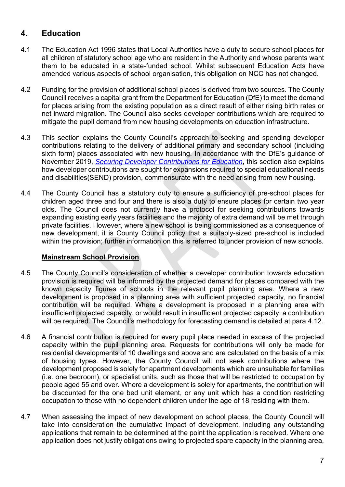## **4. Education**

- 4.1 The Education Act 1996 states that Local Authorities have a duty to secure school places for all children of statutory school age who are resident in the Authority and whose parents want them to be educated in a state-funded school. Whilst subsequent Education Acts have amended various aspects of school organisation, this obligation on NCC has not changed.
- 4.2 Funding for the provision of additional school places is derived from two sources. The County Councill receives a capital grant from the Department for Education (DfE) to meet the demand for places arising from the existing population as a direct result of either rising birth rates or net inward migration. The Council also seeks developer contributions which are required to mitigate the pupil demand from new housing developments on education infrastructure.
- 4.3 This section explains the County Council's approach to seeking and spending developer contributions relating to the delivery of additional primary and secondary school (including sixth form) places associated with new housing. In accordance with the DfE's guidance of November 2019, *Securing Developer Contributions for Education*, this section also explains how developer contributions are sought for expansions required to special educational needs and disabilities(SEND) provision, commensurate with the need arising from new housing.
- 4.4 The County Council has a statutory duty to ensure a sufficiency of pre-school places for children aged three and four and there is also a duty to ensure places for certain two year olds. The Council does not currently have a protocol for seeking contributions towards expanding existing early years facilities and the majority of extra demand will be met through private facilities. However, where a new school is being commissioned as a consequence of new development, it is County Council policy that a suitably-sized pre-school is included within the provision; further information on this is referred to under provision of new schools.

## **Mainstream School Provision**

- 4.5 The County Council's consideration of whether a developer contribution towards education provision is required will be informed by the projected demand for places compared with the known capacity figures of schools in the relevant pupil planning area. Where a new development is proposed in a planning area with sufficient projected capacity, no financial contribution will be required. Where a development is proposed in a planning area with insufficient projected capacity, or would result in insufficient projected capacity, a contribution will be required. The Council's methodology for forecasting demand is detailed at para 4.12.
- 4.6 A financial contribution is required for every pupil place needed in excess of the projected capacity within the pupil planning area. Requests for contributions will only be made for residential developments of 10 dwellings and above and are calculated on the basis of a mix of housing types. However, the County Council will not seek contributions where the development proposed is solely for apartment developments which are unsuitable for families (i.e. one bedroom), or specialist units, such as those that will be restricted to occupation by people aged 55 and over. Where a development is solely for apartments, the contribution will be discounted for the one bed unit element, or any unit which has a condition restricting occupation to those with no dependent children under the age of 18 residing with them.
- 4.7 When assessing the impact of new development on school places, the County Council will take into consideration the cumulative impact of development, including any outstanding applications that remain to be determined at the point the application is received. Where one application does not justify obligations owing to projected spare capacity in the planning area,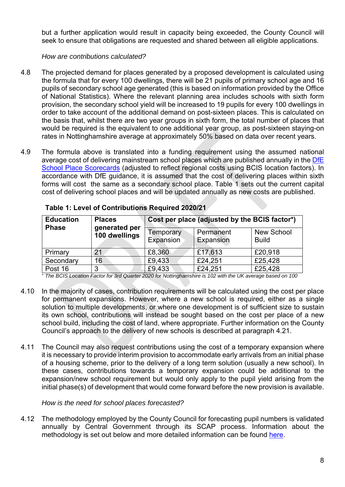but a further application would result in capacity being exceeded, the County Council will seek to ensure that obligations are requested and shared between all eligible applications.

### *How are contributions calculated?*

- 4.8 The projected demand for places generated by a proposed development is calculated using the formula that for every 100 dwellings, there will be 21 pupils of primary school age and 16 pupils of secondary school age generated (this is based on information provided by the Office of National Statistics). Where the relevant planning area includes schools with sixth form provision, the secondary school yield will be increased to 19 pupils for every 100 dwellings in order to take account of the additional demand on post-sixteen places. This is calculated on the basis that, whilst there are two year groups in sixth form, the total number of places that would be required is the equivalent to one additional year group, as post-sixteen staying-on rates in Nottinghamshire average at approximately 50% based on data over recent years.
- 4.9 The formula above is translated into a funding requirement using the assumed national average cost of delivering mainstream school places which are published annually in the DfE School Place Scorecards (adjusted to reflect regional costs using BCIS location factors). In accordance with DfE guidance, it is assumed that the cost of delivering places within sixth forms will cost the same as a secondary school place. Table 1 sets out the current capital cost of delivering school places and will be updated annually as new costs are published.

| <b>Education</b><br><b>Phase</b> | <b>Places</b><br>generated per<br>100 dwellings | Cost per place (adjusted by the BCIS factor*) |                        |                                   |
|----------------------------------|-------------------------------------------------|-----------------------------------------------|------------------------|-----------------------------------|
|                                  |                                                 | Temporary<br>Expansion                        | Permanent<br>Expansion | <b>New School</b><br><b>Build</b> |
| Primary                          | 21                                              | £8,360                                        | £17,613                | £20,918                           |
| Secondary                        | 16                                              | £9,433                                        | £24,251                | £25,428                           |
| Post 16                          | 3                                               | £9,433                                        | £24,251                | £25,428                           |

**Table 1: Level of Contributions Required 2020/21** 

\* *The BCIS Location Factor for 3rd Quarter 2020 for Nottinghamshire is 102 with the UK average based on 100*

- 4.10 In the majority of cases, contribution requirements will be calculated using the cost per place for permanent expansions. However, where a new school is required, either as a single solution to multiple developments, or where one development is of sufficient size to sustain its own school, contributions will instead be sought based on the cost per place of a new school build, including the cost of land, where appropriate. Further information on the County Council's approach to the delivery of new schools is described at paragraph 4.21.
- 4.11 The Council may also request contributions using the cost of a temporary expansion where it is necessary to provide interim provision to accommodate early arrivals from an initial phase of a housing scheme, prior to the delivery of a long term solution (usually a new school). In these cases, contributions towards a temporary expansion could be additional to the expansion/new school requirement but would only apply to the pupil yield arising from the initial phase(s) of development that would come forward before the new provision is available.

#### *How is the need for school places forecasted?*

4.12 The methodology employed by the County Council for forecasting pupil numbers is validated annually by Central Government through its SCAP process. Information about the methodology is set out below and more detailed information can be found here.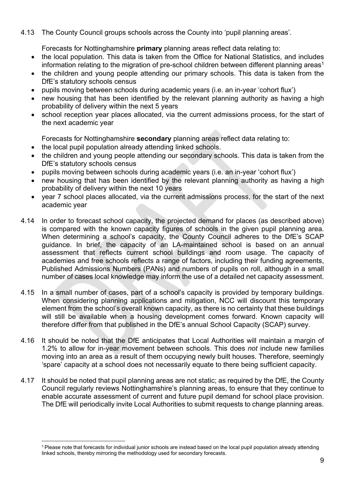4.13 The County Council groups schools across the County into 'pupil planning areas'.

Forecasts for Nottinghamshire **primary** planning areas reflect data relating to:

- the local population. This data is taken from the Office for National Statistics, and includes information relating to the migration of pre-school children between different planning areas<sup>1</sup>
- the children and young people attending our primary schools. This data is taken from the DfE's statutory schools census
- pupils moving between schools during academic years (i.e. an in-year 'cohort flux')
- new housing that has been identified by the relevant planning authority as having a high probability of delivery within the next 5 years
- school reception year places allocated, via the current admissions process, for the start of the next academic year

Forecasts for Nottinghamshire **secondary** planning areas reflect data relating to:

- the local pupil population already attending linked schools.
- the children and young people attending our secondary schools. This data is taken from the DfE's statutory schools census
- pupils moving between schools during academic years (i.e. an in-year 'cohort flux')
- new housing that has been identified by the relevant planning authority as having a high probability of delivery within the next 10 years
- year 7 school places allocated, via the current admissions process, for the start of the next academic year
- 4.14 In order to forecast school capacity, the projected demand for places (as described above) is compared with the known capacity figures of schools in the given pupil planning area. When determining a school's capacity, the County Council adheres to the DfE's SCAP guidance. In brief, the capacity of an LA-maintained school is based on an annual assessment that reflects current school buildings and room usage. The capacity of academies and free schools reflects a range of factors, including their funding agreements, Published Admissions Numbers (PANs) and numbers of pupils on roll, although in a small number of cases local knowledge may inform the use of a detailed net capacity assessment.
- 4.15 In a small number of cases, part of a school's capacity is provided by temporary buildings. When considering planning applications and mitigation, NCC will discount this temporary element from the school's overall known capacity, as there is no certainty that these buildings will still be available when a housing development comes forward. Known capacity will therefore differ from that published in the DfE's annual School Capacity (SCAP) survey.
- 4.16 It should be noted that the DfE anticipates that Local Authorities will maintain a margin of 1.2% to allow for in-year movement between schools. This does *not* include new families moving into an area as a result of them occupying newly built houses. Therefore, seemingly 'spare' capacity at a school does not necessarily equate to there being sufficient capacity.
- 4.17 It should be noted that pupil planning areas are not static; as required by the DfE, the County Council regularly reviews Nottinghamshire's planning areas, to ensure that they continue to enable accurate assessment of current and future pupil demand for school place provision. The DfE will periodically invite Local Authorities to submit requests to change planning areas.

<sup>1</sup> Please note that forecasts for individual junior schools are instead based on the local pupil population already attending linked schools, thereby mirroring the methodology used for secondary forecasts.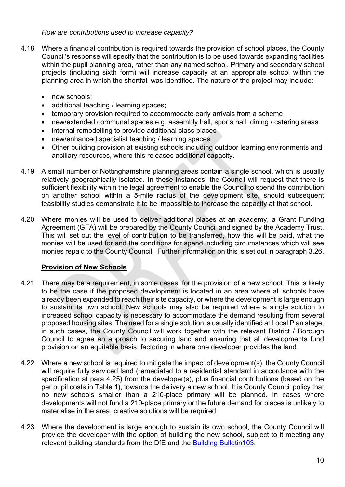#### *How are contributions used to increase capacity?*

- 4.18 Where a financial contribution is required towards the provision of school places, the County Council's response will specify that the contribution is to be used towards expanding facilities within the pupil planning area, rather than any named school. Primary and secondary school projects (including sixth form) will increase capacity at an appropriate school within the planning area in which the shortfall was identified. The nature of the project may include:
	- new schools:
	- additional teaching / learning spaces:
	- temporary provision required to accommodate early arrivals from a scheme
	- new/extended communal spaces e.g. assembly hall, sports hall, dining / catering areas
	- internal remodelling to provide additional class places
	- new/enhanced specialist teaching / learning spaces
	- Other building provision at existing schools including outdoor learning environments and ancillary resources, where this releases additional capacity.
- 4.19 A small number of Nottinghamshire planning areas contain a single school, which is usually relatively geographically isolated. In these instances, the Council will request that there is sufficient flexibility within the legal agreement to enable the Council to spend the contribution on another school within a 5-mile radius of the development site, should subsequent feasibility studies demonstrate it to be impossible to increase the capacity at that school.
- 4.20 Where monies will be used to deliver additional places at an academy, a Grant Funding Agreement (GFA) will be prepared by the County Council and signed by the Academy Trust. This will set out the level of contribution to be transferred, how this will be paid, what the monies will be used for and the conditions for spend including circumstances which will see monies repaid to the County Council. Further information on this is set out in paragraph 3.26.

## **Provision of New Schools**

- 4.21 There may be a requirement, in some cases, for the provision of a new school. This is likely to be the case if the proposed development is located in an area where all schools have already been expanded to reach their site capacity, or where the development is large enough to sustain its own school. New schools may also be required where a single solution to increased school capacity is necessary to accommodate the demand resulting from several proposed housing sites. The need for a single solution is usually identified at Local Plan stage; in such cases, the County Council will work together with the relevant District / Borough Council to agree an approach to securing land and ensuring that all developments fund provision on an equitable basis, factoring in where one developer provides the land.
- 4.22 Where a new school is required to mitigate the impact of development(s), the County Council will require fully serviced land (remediated to a residential standard in accordance with the specification at para 4.25) from the developer(s), plus financial contributions (based on the per pupil costs in Table 1), towards the delivery a new school. It is County Council policy that no new schools smaller than a 210-place primary will be planned. In cases where developments will not fund a 210-place primary or the future demand for places is unlikely to materialise in the area, creative solutions will be required.
- 4.23 Where the development is large enough to sustain its own school, the County Council will provide the developer with the option of building the new school, subject to it meeting any relevant building standards from the DfE and the Building Bulletin103.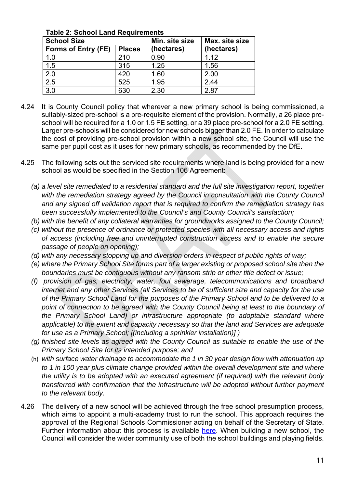| <b>TANIG 4. OUTIOUT EATIV TWAAH UNITURITY</b> |               |                |                |
|-----------------------------------------------|---------------|----------------|----------------|
| <b>School Size</b>                            |               | Min. site size | Max. site size |
| Forms of Entry (FE)                           | <b>Places</b> | (hectares)     | (hectares)     |
| 1.0                                           | 210           | 0.90           | 1.12           |
| 1.5                                           | 315           | 1.25           | 1.56           |
| 2.0                                           | 420           | 1.60           | 2.00           |
| 2.5                                           | 525           | 1.95           | 2.44           |
| 3.0                                           | 630           | 2.30           | 2.87           |

**Table 2: School Land Requirements** 

- 4.24 It is County Council policy that wherever a new primary school is being commissioned, a suitably-sized pre-school is a pre-requisite element of the provision. Normally, a 26 place preschool will be required for a 1.0 or 1.5 FE setting, or a 39 place pre-school for a 2.0 FE setting. Larger pre-schools will be considered for new schools bigger than 2.0 FE. In order to calculate the cost of providing pre-school provision within a new school site, the Council will use the same per pupil cost as it uses for new primary schools, as recommended by the DfE.
- 4.25 The following sets out the serviced site requirements where land is being provided for a new school as would be specified in the Section 106 Agreement:
	- *(a) a level site remediated to a residential standard and the full site investigation report, together*  with the remediation strategy agreed by the Council in consultation with the County Council *and any signed off validation report that is required to confirm the remediation strategy has been successfully implemented to the Council's and County Council's satisfaction;*
	- *(b) with the benefit of any collateral warranties for groundworks assigned to the County Council;*
	- *(c) without the presence of ordnance or protected species with all necessary access and rights of access (including free and uninterrupted construction access and to enable the secure passage of people on opening);*
	- *(d) with any necessary stopping up and diversion orders in respect of public rights of way;*
	- *(e) where the Primary School Site forms part of a larger existing or proposed school site then the boundaries must be contiguous without any ransom strip or other title defect or issue;*
	- *(f) provision of gas, electricity, water, foul sewerage, telecommunications and broadband internet and any other Services (all Services to be of sufficient size and capacity for the use of the Primary School Land for the purposes of the Primary School and to be delivered to a*  point of connection to be agreed with the County Council being at least to the boundary of *the Primary School Land) or infrastructure appropriate (to adoptable standard where applicable) to the extent and capacity necessary so that the land and Services are adequate for use as a Primary School; [(including a sprinkler installation)] )*
	- *(g) finished site levels as agreed with the County Council as suitable to enable the use of the Primary School Site for its intended purpose; and*
	- (h) *with surface water drainage to accommodate the 1 in 30 year design flow with attenuation up to 1 in 100 year plus climate change provided within the overall development site and where the utility is to be adopted with an executed agreement (if required) with the relevant body transferred with confirmation that the infrastructure will be adopted without further payment to the relevant body.*
- 4.26 The delivery of a new school will be achieved through the free school presumption process, which aims to appoint a multi-academy trust to run the school. This approach requires the approval of the Regional Schools Commissioner acting on behalf of the Secretary of State. Further information about this process is available here. When building a new school, the Council will consider the wider community use of both the school buildings and playing fields.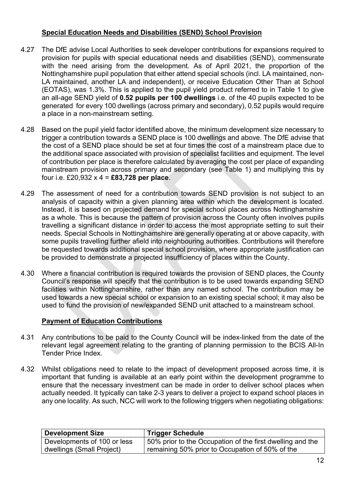## **Special Education Needs and Disabilities (SEND) School Provision**

- 4.27 The DfE advise Local Authorities to seek developer contributions for expansions required to provision for pupils with special educational needs and disabilities (SEND), commensurate with the need arising from the development. As of April 2021, the proportion of the Nottinghamshire pupil population that either attend special schools (incl. LA maintained, non-LA maintained, another LA and independent), or receive Education Other Than at School (EOTAS), was 1.3%. This is applied to the pupil yield product referred to in Table 1 to give an all-age SEND yield of **0.52 pupils per 100 dwellings** i.e. of the 40 pupils expected to be generated for every 100 dwellings (across primary and secondary), 0.52 pupils would require a place in a non-mainstream setting.
- 4.28 Based on the pupil yield factor identified above, the minimum development size necessary to trigger a contribution towards a SEND place is 100 dwellings and above. The DfE advise that the cost of a SEND place should be set at four times the cost of a mainstream place due to the additional space associated with provision of specialist facilities and equipment. The level of contribution per place is therefore calculated by averaging the cost per place of expanding mainstream provision across primary and secondary (see Table 1) and multiplying this by four i.e. £20,932 x 4 = **£83,728 per place**.
- 4.29 The assessment of need for a contribution towards SEND provision is not subject to an analysis of capacity within a given planning area within which the development is located. Instead, it is based on projected demand for special school places across Nottinghamshire as a whole. This is because the pattern of provision across the County often involves pupils travelling a significant distance in order to access the most appropriate setting to suit their needs. Special Schools in Nottinghamshire are generally operating at or above capacity, with some pupils travelling further afield into neighbouring authorities. Contributions will therefore be requested towards additional special school provision, where appropriate justification can be provided to demonstrate a projected insufficiency of places within the County.
- 4.30 Where a financial contribution is required towards the provision of SEND places, the County Council's response will specify that the contribution is to be used towards expanding SEND facilities within Nottinghamshire, rather than any named school. The contribution may be used towards a new special school or expansion to an existing special school; it may also be used to fund the provision of new/expanded SEND unit attached to a mainstream school.

## **Payment of Education Contributions**

- 4.31 Any contributions to be paid to the County Council will be index-linked from the date of the relevant legal agreement relating to the granting of planning permission to the BCIS All-In Tender Price Index.
- 4.32 Whilst obligations need to relate to the impact of development proposed across time, it is important that funding is available at an early point within the development programme to ensure that the necessary investment can be made in order to deliver school places when actually needed. It typically can take 2-3 years to deliver a project to expand school places in any one locality. As such, NCC will work to the following triggers when negotiating obligations:

| <b>Development Size</b>     | <b>Trigger Schedule</b>                                   |  |
|-----------------------------|-----------------------------------------------------------|--|
| Developments of 100 or less | 50% prior to the Occupation of the first dwelling and the |  |
| dwellings (Small Project)   | remaining 50% prior to Occupation of 50% of the           |  |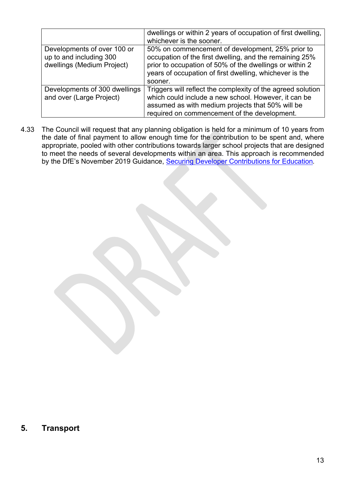|                                                                                      | dwellings or within 2 years of occupation of first dwelling,<br>whichever is the sooner.                                                                                                                                                     |
|--------------------------------------------------------------------------------------|----------------------------------------------------------------------------------------------------------------------------------------------------------------------------------------------------------------------------------------------|
| Developments of over 100 or<br>up to and including 300<br>dwellings (Medium Project) | 50% on commencement of development, 25% prior to<br>occupation of the first dwelling, and the remaining 25%<br>prior to occupation of 50% of the dwellings or within 2<br>years of occupation of first dwelling, whichever is the<br>sooner. |
| Developments of 300 dwellings<br>and over (Large Project)                            | Triggers will reflect the complexity of the agreed solution<br>which could include a new school. However, it can be<br>assumed as with medium projects that 50% will be<br>required on commencement of the development.                      |

4.33 The Council will request that any planning obligation is held for a minimum of 10 years from the date of final payment to allow enough time for the contribution to be spent and, where appropriate, pooled with other contributions towards larger school projects that are designed to meet the needs of several developments within an area. This approach is recommended by the DfE's November 2019 Guidance, Securing Developer Contributions for Education*.*

**5. Transport**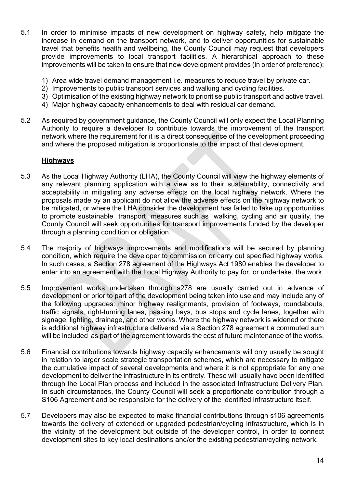- 5.1 In order to minimise impacts of new development on highway safety, help mitigate the increase in demand on the transport network, and to deliver opportunities for sustainable travel that benefits health and wellbeing, the County Council may request that developers provide improvements to local transport facilities. A hierarchical approach to these improvements will be taken to ensure that new development provides (in order of preference):
	- 1) Area wide travel demand management i.e. measures to reduce travel by private car.
	- 2) Improvements to public transport services and walking and cycling facilities.
	- 3) Optimisation of the existing highway network to prioritise public transport and active travel.
	- 4) Major highway capacity enhancements to deal with residual car demand.
- 5.2 As required by government guidance, the County Council will only expect the Local Planning Authority to require a developer to contribute towards the improvement of the transport network where the requirement for it is a direct consequence of the development proceeding and where the proposed mitigation is proportionate to the impact of that development.

#### **Highways**

- 5.3 As the Local Highway Authority (LHA), the County Council will view the highway elements of any relevant planning application with a view as to their sustainability, connectivity and acceptability in mitigating any adverse effects on the local highway network. Where the proposals made by an applicant do not allow the adverse effects on the highway network to be mitigated, or where the LHA consider the development has failed to take up opportunities to promote sustainable transport measures such as walking, cycling and air quality, the County Council will seek opportunities for transport improvements funded by the developer through a planning condition or obligation.
- 5.4 The majority of highways improvements and modifications will be secured by planning condition, which require the developer to commission or carry out specified highway works. In such cases, a Section 278 agreement of the Highways Act 1980 enables the developer to enter into an agreement with the Local Highway Authority to pay for, or undertake, the work.
- 5.5 Improvement works undertaken through s278 are usually carried out in advance of development or prior to part of the development being taken into use and may include any of the following upgrades: minor highway realignments, provision of footways, roundabouts, traffic signals, right-turning lanes, passing bays, bus stops and cycle lanes, together with signage, lighting, drainage, and other works. Where the highway network is widened or there is additional highway infrastructure delivered via a Section 278 agreement a commuted sum will be included as part of the agreement towards the cost of future maintenance of the works.
- 5.6 Financial contributions towards highway capacity enhancements will only usually be sought in relation to larger scale strategic transportation schemes, which are necessary to mitigate the cumulative impact of several developments and where it is not appropriate for any one development to deliver the infrastructure in its entirety. These will usually have been identified through the Local Plan process and included in the associated Infrastructure Delivery Plan. In such circumstances, the County Council will seek a proportionate contribution through a S106 Agreement and be responsible for the delivery of the identified infrastructure itself.
- 5.7 Developers may also be expected to make financial contributions through s106 agreements towards the delivery of extended or upgraded pedestrian/cycling infrastructure, which is in the vicinity of the development but outside of the developer control, in order to connect development sites to key local destinations and/or the existing pedestrian/cycling network.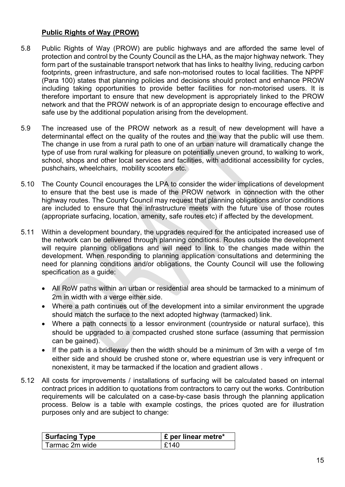## **Public Rights of Way (PROW)**

- 5.8 Public Rights of Way (PROW) are public highways and are afforded the same level of protection and control by the County Council as the LHA, as the major highway network. They form part of the sustainable transport network that has links to healthy living, reducing carbon footprints, green infrastructure, and safe non-motorised routes to local facilities. The NPPF (Para 100) states that planning policies and decisions should protect and enhance PROW including taking opportunities to provide better facilities for non-motorised users. It is therefore important to ensure that new development is appropriately linked to the PROW network and that the PROW network is of an appropriate design to encourage effective and safe use by the additional population arising from the development.
- 5.9 The increased use of the PROW network as a result of new development will have a determinantal effect on the quality of the routes and the way that the public will use them. The change in use from a rural path to one of an urban nature will dramatically change the type of use from rural walking for pleasure on potentially uneven ground, to walking to work, school, shops and other local services and facilities, with additional accessibility for cycles, pushchairs, wheelchairs, mobility scooters etc.
- 5.10 The County Council encourages the LPA to consider the wider implications of development to ensure that the best use is made of the PROW network in connection with the other highway routes. The County Council may request that planning obligations and/or conditions are included to ensure that the infrastructure meets with the future use of those routes (appropriate surfacing, location, amenity, safe routes etc) if affected by the development.
- 5.11 Within a development boundary, the upgrades required for the anticipated increased use of the network can be delivered through planning conditions. Routes outside the development will require planning obligations and will need to link to the changes made within the development. When responding to planning application consultations and determining the need for planning conditions and/or obligations, the County Council will use the following specification as a guide:
	- All RoW paths within an urban or residential area should be tarmacked to a minimum of 2m in width with a verge either side.
	- Where a path continues out of the development into a similar environment the upgrade should match the surface to the next adopted highway (tarmacked) link.
	- Where a path connects to a lessor environment (countryside or natural surface), this should be upgraded to a compacted crushed stone surface (assuming that permission can be gained).
	- If the path is a bridleway then the width should be a minimum of 3m with a verge of 1m either side and should be crushed stone or, where equestrian use is very infrequent or nonexistent, it may be tarmacked if the location and gradient allows .
- 5.12 All costs for improvements / installations of surfacing will be calculated based on internal contract prices in addition to quotations from contractors to carry out the works. Contribution requirements will be calculated on a case-by-case basis through the planning application process. Below is a table with example costings, the prices quoted are for illustration purposes only and are subject to change:

| <b>Surfacing Type</b> | $\mathsf{E}$ per linear metre* |
|-----------------------|--------------------------------|
| Tarmac 2m wide        | £140                           |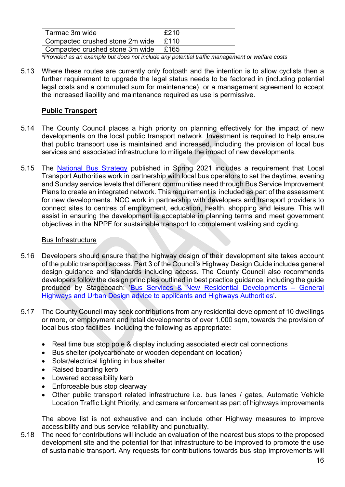| Tarmac 3m wide                  | £210 |
|---------------------------------|------|
| Compacted crushed stone 2m wide | E110 |
| Compacted crushed stone 3m wide | E165 |

*\*Provided as an example but does not include any potential traffic management or welfare costs* 

5.13 Where these routes are currently only footpath and the intention is to allow cyclists then a further requirement to upgrade the legal status needs to be factored in (including potential legal costs and a commuted sum for maintenance) or a management agreement to accept the increased liability and maintenance required as use is permissive.

## **Public Transport**

- 5.14 The County Council places a high priority on planning effectively for the impact of new developments on the local public transport network. Investment is required to help ensure that public transport use is maintained and increased, including the provision of local bus services and associated infrastructure to mitigate the impact of new developments.
- 5.15 The National Bus Strategy published in Spring 2021 includes a requirement that Local Transport Authorities work in partnership with local bus operators to set the daytime, evening and Sunday service levels that different communities need through Bus Service Improvement Plans to create an integrated network. This requirement is included as part of the assessment for new developments. NCC work in partnership with developers and transport providers to connect sites to centres of employment, education, health, shopping and leisure. This will assist in ensuring the development is acceptable in planning terms and meet government objectives in the NPPF for sustainable transport to complement walking and cycling.

#### Bus Infrastructure

- 5.16 Developers should ensure that the highway design of their development site takes account of the public transport access. Part 3 of the Council's Highway Design Guide includes general design guidance and standards including access. The County Council also recommends developers follow the design principles outlined in best practice guidance, including the guide produced by Stagecoach: 'Bus Services & New Residential Developments – General Highways and Urban Design advice to applicants and Highways Authorities'.
- 5.17 The County Council may seek contributions from any residential development of 10 dwellings or more, or employment and retail developments of over 1,000 sqm, towards the provision of local bus stop facilities including the following as appropriate:
	- Real time bus stop pole & display including associated electrical connections
	- Bus shelter (polycarbonate or wooden dependant on location)
	- Solar/electrical lighting in bus shelter
	- Raised boarding kerb
	- Lowered accessibility kerb
	- Enforceable bus stop clearway
	- Other public transport related infrastructure i.e. bus lanes / gates, Automatic Vehicle Location Traffic Light Priority, and camera enforcement as part of highways improvements

 The above list is not exhaustive and can include other Highway measures to improve accessibility and bus service reliability and punctuality.

5.18 The need for contributions will include an evaluation of the nearest bus stops to the proposed development site and the potential for that infrastructure to be improved to promote the use of sustainable transport. Any requests for contributions towards bus stop improvements will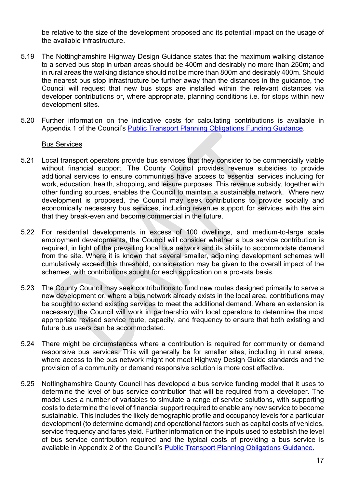be relative to the size of the development proposed and its potential impact on the usage of the available infrastructure.

- 5.19 The Nottinghamshire Highway Design Guidance states that the maximum walking distance to a served bus stop in urban areas should be 400m and desirably no more than 250m; and in rural areas the walking distance should not be more than 800m and desirably 400m. Should the nearest bus stop infrastructure be further away than the distances in the guidance, the Council will request that new bus stops are installed within the relevant distances via developer contributions or, where appropriate, planning conditions i.e. for stops within new development sites.
- 5.20 Further information on the indicative costs for calculating contributions is available in Appendix 1 of the Council's **Public Transport Planning Obligations Funding Guidance**.

#### Bus Services

- 5.21 Local transport operators provide bus services that they consider to be commercially viable without financial support. The County Council provides revenue subsidies to provide additional services to ensure communities have access to essential services including for work, education, health, shopping, and leisure purposes. This revenue subsidy, together with other funding sources, enables the Council to maintain a sustainable network. Where new development is proposed, the Council may seek contributions to provide socially and economically necessary bus services, including revenue support for services with the aim that they break-even and become commercial in the future.
- 5.22 For residential developments in excess of 100 dwellings, and medium-to-large scale employment developments, the Council will consider whether a bus service contribution is required, in light of the prevailing local bus network and its ability to accommodate demand from the site. Where it is known that several smaller, adjoining development schemes will cumulatively exceed this threshold, consideration may be given to the overall impact of the schemes, with contributions sought for each application on a pro-rata basis.
- 5.23 The County Council may seek contributions to fund new routes designed primarily to serve a new development or, where a bus network already exists in the local area, contributions may be sought to extend existing services to meet the additional demand. Where an extension is necessary, the Council will work in partnership with local operators to determine the most appropriate revised service route, capacity, and frequency to ensure that both existing and future bus users can be accommodated.
- 5.24 There might be circumstances where a contribution is required for community or demand responsive bus services. This will generally be for smaller sites, including in rural areas, where access to the bus network might not meet Highway Design Guide standards and the provision of a community or demand responsive solution is more cost effective.
- 5.25 Nottinghamshire County Council has developed a bus service funding model that it uses to determine the level of bus service contribution that will be required from a developer. The model uses a number of variables to simulate a range of service solutions, with supporting costs to determine the level of financial support required to enable any new service to become sustainable. This includes the likely demographic profile and occupancy levels for a particular development (to determine demand) and operational factors such as capital costs of vehicles, service frequency and fares yield. Further information on the inputs used to establish the level of bus service contribution required and the typical costs of providing a bus service is available in Appendix 2 of the Council's Public Transport Planning Obligations Guidance.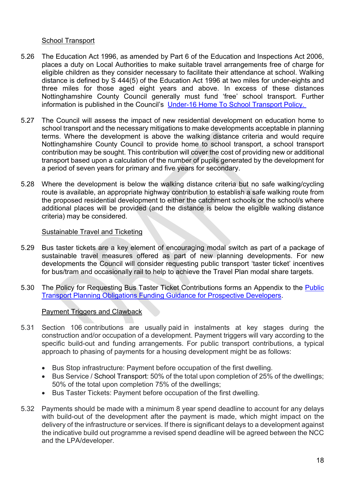#### School Transport

- 5.26 The Education Act 1996, as amended by Part 6 of the Education and Inspections Act 2006, places a duty on Local Authorities to make suitable travel arrangements free of charge for eligible children as they consider necessary to facilitate their attendance at school. Walking distance is defined by S 444(5) of the Education Act 1996 at two miles for under-eights and three miles for those aged eight years and above. In excess of these distances Nottinghamshire County Council generally must fund 'free' school transport. Further information is published in the Council's Under-16 Home To School Transport Policy.
- 5.27 The Council will assess the impact of new residential development on education home to school transport and the necessary mitigations to make developments acceptable in planning terms. Where the development is above the walking distance criteria and would require Nottinghamshire County Council to provide home to school transport, a school transport contribution may be sought. This contribution will cover the cost of providing new or additional transport based upon a calculation of the number of pupils generated by the development for a period of seven years for primary and five years for secondary.
- 5.28 Where the development is below the walking distance criteria but no safe walking/cycling route is available, an appropriate highway contribution to establish a safe walking route from the proposed residential development to either the catchment schools or the school/s where additional places will be provided (and the distance is below the eligible walking distance criteria) may be considered.

#### Sustainable Travel and Ticketing

- 5.29 Bus taster tickets are a key element of encouraging modal switch as part of a package of sustainable travel measures offered as part of new planning developments. For new developments the Council will consider requesting public transport 'taster ticket' incentives for bus/tram and occasionally rail to help to achieve the Travel Plan modal share targets.
- 5.30 The Policy for Requesting Bus Taster Ticket Contributions forms an Appendix to the Public Transport Planning Obligations Funding Guidance for Prospective Developers.

#### Payment Triggers and Clawback

- 5.31 Section 106 contributions are usually paid in instalments at key stages during the construction and/or occupation of a development. Payment triggers will vary according to the specific build-out and funding arrangements. For public transport contributions, a typical approach to phasing of payments for a housing development might be as follows:
	- Bus Stop infrastructure: Payment before occupation of the first dwelling.
	- Bus Service / School Transport: 50% of the total upon completion of 25% of the dwellings; 50% of the total upon completion 75% of the dwellings;
	- Bus Taster Tickets: Payment before occupation of the first dwelling.
- 5.32 Payments should be made with a minimum 8 year spend deadline to account for any delays with build-out of the development after the payment is made, which might impact on the delivery of the infrastructure or services. If there is significant delays to a development against the indicative build out programme a revised spend deadline will be agreed between the NCC and the LPA/developer.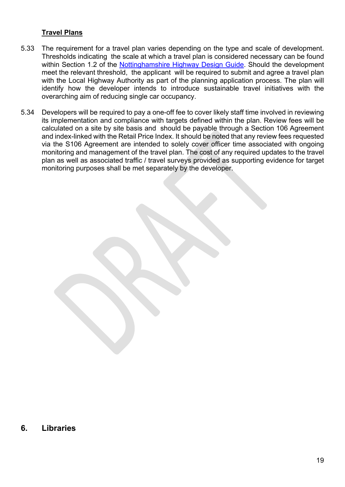## **Travel Plans**

- 5.33 The requirement for a travel plan varies depending on the type and scale of development. Thresholds indicating the scale at which a travel plan is considered necessary can be found within Section 1.2 of the Nottinghamshire Highway Design Guide. Should the development meet the relevant threshold, the applicant will be required to submit and agree a travel plan with the Local Highway Authority as part of the planning application process. The plan will identify how the developer intends to introduce sustainable travel initiatives with the overarching aim of reducing single car occupancy.
- 5.34 Developers will be required to pay a one-off fee to cover likely staff time involved in reviewing its implementation and compliance with targets defined within the plan. Review fees will be calculated on a site by site basis and should be payable through a Section 106 Agreement and index-linked with the Retail Price Index. It should be noted that any review fees requested via the S106 Agreement are intended to solely cover officer time associated with ongoing monitoring and management of the travel plan. The cost of any required updates to the travel plan as well as associated traffic / travel surveys provided as supporting evidence for target monitoring purposes shall be met separately by the developer.

## **6. Libraries**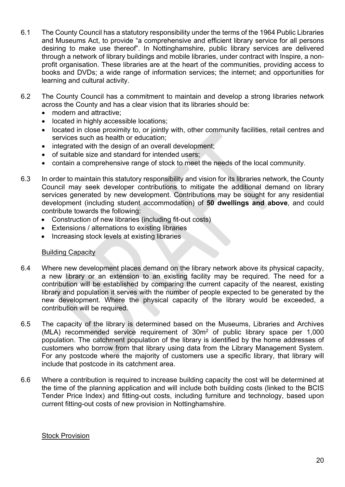- 6.1 The County Council has a statutory responsibility under the terms of the 1964 Public Libraries and Museums Act, to provide "a comprehensive and efficient library service for all persons desiring to make use thereof". In Nottinghamshire, public library services are delivered through a network of library buildings and mobile libraries, under contract with Inspire, a nonprofit organisation. These libraries are at the heart of the communities, providing access to books and DVDs; a wide range of information services; the internet; and opportunities for learning and cultural activity.
- 6.2 The County Council has a commitment to maintain and develop a strong libraries network across the County and has a clear vision that its libraries should be:
	- modern and attractive:
	- located in highly accessible locations;
	- located in close proximity to, or jointly with, other community facilities, retail centres and services such as health or education;
	- integrated with the design of an overall development;
	- of suitable size and standard for intended users;
	- contain a comprehensive range of stock to meet the needs of the local community.
- 6.3 In order to maintain this statutory responsibility and vision for its libraries network, the County Council may seek developer contributions to mitigate the additional demand on library services generated by new development. Contributions may be sought for any residential development (including student accommodation) of **50 dwellings and above**, and could contribute towards the following:
	- Construction of new libraries (including fit-out costs)
	- Extensions / alternations to existing libraries
	- Increasing stock levels at existing libraries

#### Building Capacity

- 6.4 Where new development places demand on the library network above its physical capacity, a new library or an extension to an existing facility may be required. The need for a contribution will be established by comparing the current capacity of the nearest, existing library and population it serves with the number of people expected to be generated by the new development. Where the physical capacity of the library would be exceeded, a contribution will be required.
- 6.5 The capacity of the library is determined based on the Museums, Libraries and Archives (MLA) recommended service requirement of 30m2 of public library space per 1,000 population. The catchment population of the library is identified by the home addresses of customers who borrow from that library using data from the Library Management System. For any postcode where the majority of customers use a specific library, that library will include that postcode in its catchment area.
- 6.6 Where a contribution is required to increase building capacity the cost will be determined at the time of the planning application and will include both building costs (linked to the BCIS Tender Price Index) and fitting-out costs, including furniture and technology, based upon current fitting-out costs of new provision in Nottinghamshire.

#### Stock Provision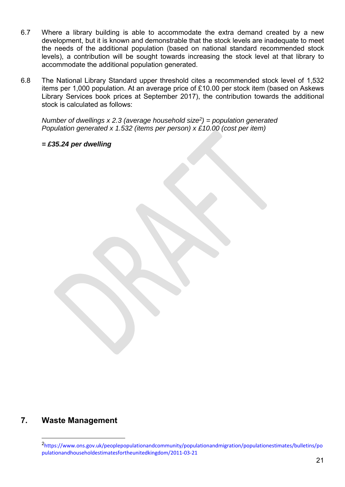- 6.7 Where a library building is able to accommodate the extra demand created by a new development, but it is known and demonstrable that the stock levels are inadequate to meet the needs of the additional population (based on national standard recommended stock levels), a contribution will be sought towards increasing the stock level at that library to accommodate the additional population generated.
- 6.8 The National Library Standard upper threshold cites a recommended stock level of 1,532 items per 1,000 population. At an average price of £10.00 per stock item (based on Askews Library Services book prices at September 2017), the contribution towards the additional stock is calculated as follows:

*Number of dwellings x 2.3 (average household size2) = population generated Population generated x 1.532 (items per person) x £10.00 (cost per item)* 

*= £35.24 per dwelling*

## **7. Waste Management**

<sup>2</sup>https://www.ons.gov.uk/peoplepopulationandcommunity/populationandmigration/populationestimates/bulletins/po pulationandhouseholdestimatesfortheunitedkingdom/2011‐03‐21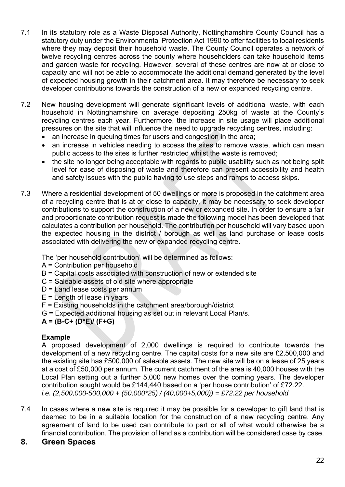- 7.1 In its statutory role as a Waste Disposal Authority, Nottinghamshire County Council has a statutory duty under the Environmental Protection Act 1990 to offer facilities to local residents where they may deposit their household waste. The County Council operates a network of twelve recycling centres across the county where householders can take household items and garden waste for recycling. However, several of these centres are now at or close to capacity and will not be able to accommodate the additional demand generated by the level of expected housing growth in their catchment area. It may therefore be necessary to seek developer contributions towards the construction of a new or expanded recycling centre.
- 7.2 New housing development will generate significant levels of additional waste, with each household in Nottinghamshire on average depositing 250kg of waste at the County's recycling centres each year. Furthermore, the increase in site usage will place additional pressures on the site that will influence the need to upgrade recycling centres, including:
	- an increase in queuing times for users and congestion in the area;
	- an increase in vehicles needing to access the sites to remove waste, which can mean public access to the sites is further restricted whilst the waste is removed;
	- the site no longer being acceptable with regards to public usability such as not being split level for ease of disposing of waste and therefore can present accessibility and health and safety issues with the public having to use steps and ramps to access skips.
- 7.3 Where a residential development of 50 dwellings or more is proposed in the catchment area of a recycling centre that is at or close to capacity, it may be necessary to seek developer contributions to support the construction of a new or expanded site. In order to ensure a fair and proportionate contribution request is made the following model has been developed that calculates a contribution per household. The contribution per household will vary based upon the expected housing in the district / borough as well as land purchase or lease costs associated with delivering the new or expanded recycling centre.

The 'per household contribution' will be determined as follows:

- A = Contribution per household
- B = Capital costs associated with construction of new or extended site
- C = Saleable assets of old site where appropriate
- D = Land lease costs per annum
- $E =$  Length of lease in years
- F = Existing households in the catchment area/borough/district
- G = Expected additional housing as set out in relevant Local Plan/s.

## **A = (B-C+ (D\*E)/ (F+G)**

## **Example**

A proposed development of 2,000 dwellings is required to contribute towards the development of a new recycling centre. The capital costs for a new site are £2,500,000 and the existing site has £500,000 of saleable assets. The new site will be on a lease of 25 years at a cost of £50,000 per annum. The current catchment of the area is 40,000 houses with the Local Plan setting out a further 5,000 new homes over the coming years. The developer contribution sought would be £144,440 based on a 'per house contribution' of £72.22. *i.e. (2,500,000-500,000 + (50,000\*25) / (40,000+5,000)) = £72.22 per household*

7.4 In cases where a new site is required it may be possible for a developer to gift land that is deemed to be in a suitable location for the construction of a new recycling centre. Any agreement of land to be used can contribute to part or all of what would otherwise be a financial contribution. The provision of land as a contribution will be considered case by case.

## **8. Green Spaces**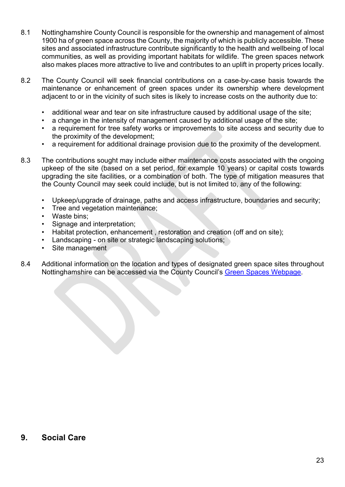- 8.1 Nottinghamshire County Council is responsible for the ownership and management of almost 1900 ha of green space across the County, the majority of which is publicly accessible. These sites and associated infrastructure contribute significantly to the health and wellbeing of local communities, as well as providing important habitats for wildlife. The green spaces network also makes places more attractive to live and contributes to an uplift in property prices locally.
- 8.2 The County Council will seek financial contributions on a case-by-case basis towards the maintenance or enhancement of green spaces under its ownership where development adjacent to or in the vicinity of such sites is likely to increase costs on the authority due to:
	- additional wear and tear on site infrastructure caused by additional usage of the site;
	- a change in the intensity of management caused by additional usage of the site;
	- a requirement for tree safety works or improvements to site access and security due to the proximity of the development;
	- a requirement for additional drainage provision due to the proximity of the development.
- 8.3 The contributions sought may include either maintenance costs associated with the ongoing upkeep of the site (based on a set period, for example 10 years) or capital costs towards upgrading the site facilities, or a combination of both. The type of mitigation measures that the County Council may seek could include, but is not limited to, any of the following:
	- Upkeep/upgrade of drainage, paths and access infrastructure, boundaries and security;
	- Tree and vegetation maintenance;
	- Waste bins;
	- Signage and interpretation;
	- Habitat protection, enhancement , restoration and creation (off and on site);
	- Landscaping on site or strategic landscaping solutions;
	- Site management
- 8.4 Additional information on the location and types of designated green space sites throughout Nottinghamshire can be accessed via the County Council's Green Spaces Webpage.

### **9. Social Care**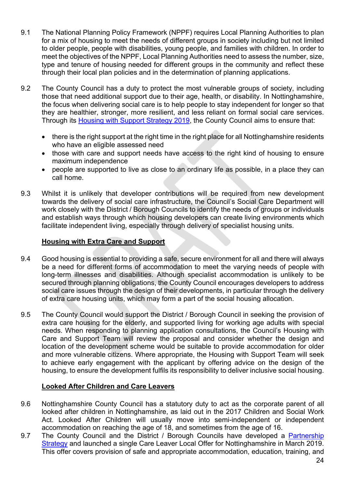- 9.1 The National Planning Policy Framework (NPPF) requires Local Planning Authorities to plan for a mix of housing to meet the needs of different groups in society including but not limited to older people, people with disabilities, young people, and families with children. In order to meet the objectives of the NPPF, Local Planning Authorities need to assess the number, size, type and tenure of housing needed for different groups in the community and reflect these through their local plan policies and in the determination of planning applications.
- 9.2 The County Council has a duty to protect the most vulnerable groups of society, including those that need additional support due to their age, health, or disability. In Nottinghamshire, the focus when delivering social care is to help people to stay independent for longer so that they are healthier, stronger, more resilient, and less reliant on formal social care services. Through its Housing with Support Strategy 2019, the County Council aims to ensure that:
	- there is the right support at the right time in the right place for all Nottinghamshire residents who have an eligible assessed need
	- those with care and support needs have access to the right kind of housing to ensure maximum independence
	- people are supported to live as close to an ordinary life as possible, in a place they can call home.
- 9.3 Whilst it is unlikely that developer contributions will be required from new development towards the delivery of social care infrastructure, the Council's Social Care Department will work closely with the District / Borough Councils to identify the needs of groups or individuals and establish ways through which housing developers can create living environments which facilitate independent living, especially through delivery of specialist housing units.

## **Housing with Extra Care and Support**

- 9.4 Good housing is essential to providing a safe, secure environment for all and there will always be a need for different forms of accommodation to meet the varying needs of people with long-term illnesses and disabilities. Although specialist accommodation is unlikely to be secured through planning obligations, the County Council encourages developers to address social care issues through the design of their developments, in particular through the delivery of extra care housing units, which may form a part of the social housing allocation.
- 9.5 The County Council would support the District / Borough Council in seeking the provision of extra care housing for the elderly, and supported living for working age adults with special needs. When responding to planning application consultations, the Council's Housing with Care and Support Team will review the proposal and consider whether the design and location of the development scheme would be suitable to provide accommodation for older and more vulnerable citizens. Where appropriate, the Housing with Support Team will seek to achieve early engagement with the applicant by offering advice on the design of the housing, to ensure the development fulfils its responsibility to deliver inclusive social housing.

#### **Looked After Children and Care Leavers**

- 9.6 Nottinghamshire County Council has a statutory duty to act as the corporate parent of all looked after children in Nottinghamshire, as laid out in the 2017 Children and Social Work Act. Looked After Children will usually move into semi-independent or independent accommodation on reaching the age of 18, and sometimes from the age of 16.
- 9.7 The County Council and the District / Borough Councils have developed a Partnership Strategy and launched a single Care Leaver Local Offer for Nottinghamshire in March 2019. This offer covers provision of safe and appropriate accommodation, education, training, and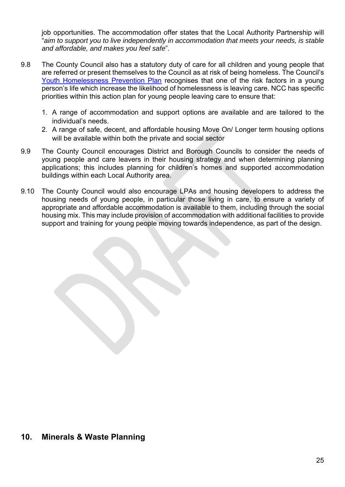job opportunities. The accommodation offer states that the Local Authority Partnership will "*aim to support you to live independently in accommodation that meets your needs, is stable and affordable, and makes you feel safe*".

- 9.8 The County Council also has a statutory duty of care for all children and young people that are referred or present themselves to the Council as at risk of being homeless. The Council's Youth Homelessness Prevention Plan recognises that one of the risk factors in a young person's life which increase the likelihood of homelessness is leaving care. NCC has specific priorities within this action plan for young people leaving care to ensure that:
	- 1. A range of accommodation and support options are available and are tailored to the individual's needs.
	- 2. A range of safe, decent, and affordable housing Move On/ Longer term housing options will be available within both the private and social sector
- 9.9 The County Council encourages District and Borough Councils to consider the needs of young people and care leavers in their housing strategy and when determining planning applications; this includes planning for children's homes and supported accommodation buildings within each Local Authority area.
- 9.10 The County Council would also encourage LPAs and housing developers to address the housing needs of young people, in particular those living in care, to ensure a variety of appropriate and affordable accommodation is available to them, including through the social housing mix. This may include provision of accommodation with additional facilities to provide support and training for young people moving towards independence, as part of the design.